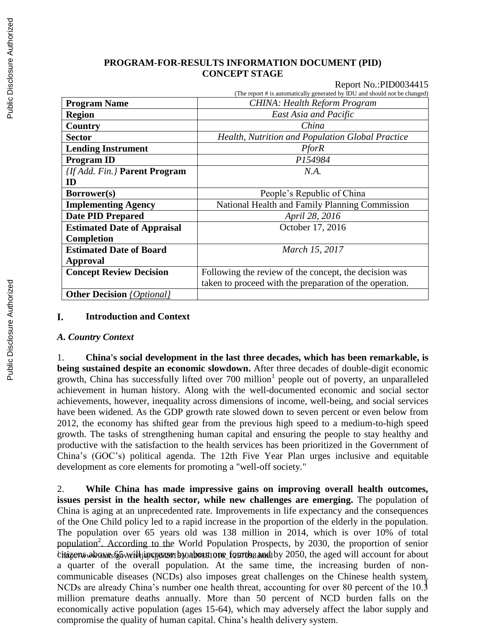## **PROGRAM-FOR-RESULTS INFORMATION DOCUMENT (PID) CONCEPT STAGE**

## Report No.:PID0034415

|                                         | (The report # is automatically generated by IDU and should not be changed) |
|-----------------------------------------|----------------------------------------------------------------------------|
| <b>Program Name</b>                     | CHINA: Health Reform Program                                               |
| <b>Region</b>                           | East Asia and Pacific                                                      |
| Country                                 | China                                                                      |
| <b>Sector</b>                           | Health, Nutrition and Population Global Practice                           |
| <b>Lending Instrument</b>               | <b>PforR</b>                                                               |
| <b>Program ID</b>                       | P154984                                                                    |
| <b>{If Add. Fin.} Parent Program</b>    | N.A.                                                                       |
| ID                                      |                                                                            |
| Borrower(s)                             | People's Republic of China                                                 |
| <b>Implementing Agency</b>              | National Health and Family Planning Commission                             |
| <b>Date PID Prepared</b>                | April 28, 2016                                                             |
| <b>Estimated Date of Appraisal</b>      | October 17, 2016                                                           |
| Completion                              |                                                                            |
| <b>Estimated Date of Board</b>          | March 15, 2017                                                             |
| Approval                                |                                                                            |
| <b>Concept Review Decision</b>          | Following the review of the concept, the decision was                      |
|                                         | taken to proceed with the preparation of the operation.                    |
| <b>Other Decision</b> <i>{Optional}</i> |                                                                            |

## I. **Introduction and Context**

## *A. Country Context*

1. **China's social development in the last three decades, which has been remarkable, is being sustained despite an economic slowdown.** After three decades of double-digit economic growth, China has successfully lifted over 700 million<sup>1</sup> people out of poverty, an unparalleled achievement in human history. Along with the well-documented economic and social sector achievements, however, inequality across dimensions of income, well-being, and social services have been widened. As the GDP growth rate slowed down to seven percent or even below from 2012, the economy has shifted gear from the previous high speed to a medium-to-high speed growth. The tasks of strengthening human capital and ensuring the people to stay healthy and productive with the satisfaction to the health services has been prioritized in the Government of China's (GOC's) political agenda. The 12th Five Year Plan urges inclusive and equitable development as core elements for promoting a "well-off society."

NCDs are already China's number one health threat, accounting for over 80 percent of the 10.3 2. **While China has made impressive gains on improving overall health outcomes, issues persist in the health sector, while new challenges are emerging.** The population of China is aging at an unprecedented rate. Improvements in life expectancy and the consequences of the One Child policy led to a rapid increase in the proportion of the elderly in the population. The population over 65 years old was 138 million in 2014, which is over 10% of total population<sup>2</sup>. According to the World Population Prospects, by 2030, the proportion of senior citizens who was 65 weill jure jeaze by about 10 ne fourthes and by 2050, the aged will account for about a quarter of the overall population. At the same time, the increasing burden of noncommunicable diseases (NCDs) also imposes great challenges on the Chinese health system. million premature deaths annually. More than 50 percent of NCD burden falls on the economically active population (ages 15-64), which may adversely affect the labor supply and compromise the quality of human capital. China's health delivery system.